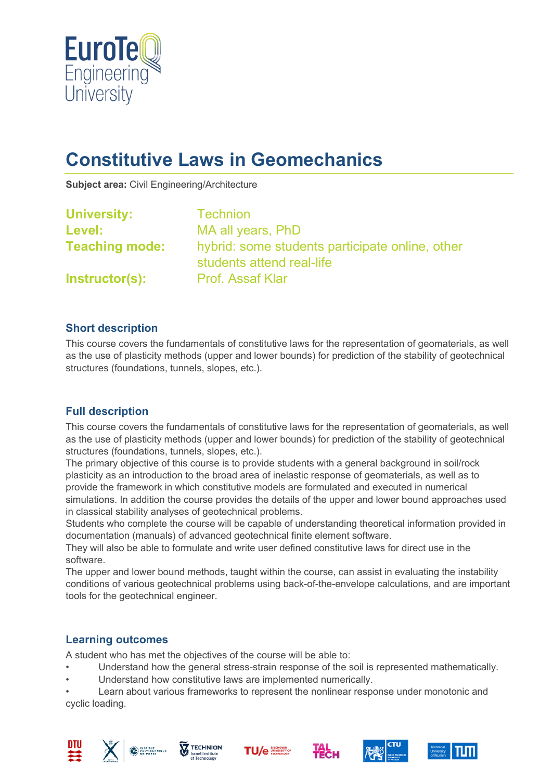

# **Constitutive Laws in Geomechanics**

**Subject area:** Civil Engineering/Architecture

| <b>University:</b>    | <b>Technion</b>                                                              |
|-----------------------|------------------------------------------------------------------------------|
| Level:                | MA all years, PhD                                                            |
| <b>Teaching mode:</b> | hybrid: some students participate online, other<br>students attend real-life |
| Instructor(s):        | <b>Prof. Assaf Klar</b>                                                      |

## **Short description**

This course covers the fundamentals of constitutive laws for the representation of geomaterials, as well as the use of plasticity methods (upper and lower bounds) for prediction of the stability of geotechnical structures (foundations, tunnels, slopes, etc.).

## **Full description**

This course covers the fundamentals of constitutive laws for the representation of geomaterials, as well as the use of plasticity methods (upper and lower bounds) for prediction of the stability of geotechnical structures (foundations, tunnels, slopes, etc.).

The primary objective of this course is to provide students with a general background in soil/rock plasticity as an introduction to the broad area of inelastic response of geomaterials, as well as to provide the framework in which constitutive models are formulated and executed in numerical simulations. In addition the course provides the details of the upper and lower bound approaches used in classical stability analyses of geotechnical problems.

Students who complete the course will be capable of understanding theoretical information provided in documentation (manuals) of advanced geotechnical finite element software.

They will also be able to formulate and write user defined constitutive laws for direct use in the software.

The upper and lower bound methods, taught within the course, can assist in evaluating the instability conditions of various geotechnical problems using back-of-the-envelope calculations, and are important tools for the geotechnical engineer.

#### **Learning outcomes**

A student who has met the objectives of the course will be able to:

- Understand how the general stress-strain response of the soil is represented mathematically.
- Understand how constitutive laws are implemented numerically.

Learn about various frameworks to represent the nonlinear response under monotonic and cyclic loading.











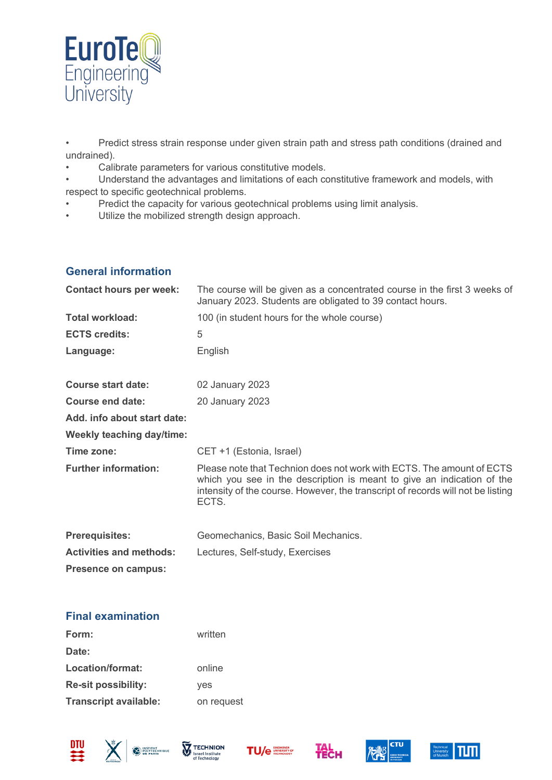

• Predict stress strain response under given strain path and stress path conditions (drained and undrained).

- Calibrate parameters for various constitutive models.
- Understand the advantages and limitations of each constitutive framework and models, with respect to specific geotechnical problems.
- Predict the capacity for various geotechnical problems using limit analysis.
- Utilize the mobilized strength design approach.

## **General information**

| <b>Contact hours per week:</b>   | The course will be given as a concentrated course in the first 3 weeks of<br>January 2023. Students are obligated to 39 contact hours.                                                                                                      |
|----------------------------------|---------------------------------------------------------------------------------------------------------------------------------------------------------------------------------------------------------------------------------------------|
| <b>Total workload:</b>           | 100 (in student hours for the whole course)                                                                                                                                                                                                 |
| <b>ECTS credits:</b>             | 5                                                                                                                                                                                                                                           |
| Language:                        | English                                                                                                                                                                                                                                     |
| <b>Course start date:</b>        | 02 January 2023                                                                                                                                                                                                                             |
| Course end date:                 | 20 January 2023                                                                                                                                                                                                                             |
| Add. info about start date:      |                                                                                                                                                                                                                                             |
| <b>Weekly teaching day/time:</b> |                                                                                                                                                                                                                                             |
| Time zone:                       | CET +1 (Estonia, Israel)                                                                                                                                                                                                                    |
| <b>Further information:</b>      | Please note that Technion does not work with ECTS. The amount of ECTS<br>which you see in the description is meant to give an indication of the<br>intensity of the course. However, the transcript of records will not be listing<br>ECTS. |
| <b>Prerequisites:</b>            | Geomechanics, Basic Soil Mechanics.                                                                                                                                                                                                         |
| <b>Activities and methods:</b>   | Lectures, Self-study, Exercises                                                                                                                                                                                                             |
| Presence on campus:              |                                                                                                                                                                                                                                             |

## **Final examination**

| Form:                        | written    |
|------------------------------|------------|
| Date:                        |            |
| Location/format:             | online     |
| Re-sit possibility:          | yes        |
| <b>Transcript available:</b> | on request |